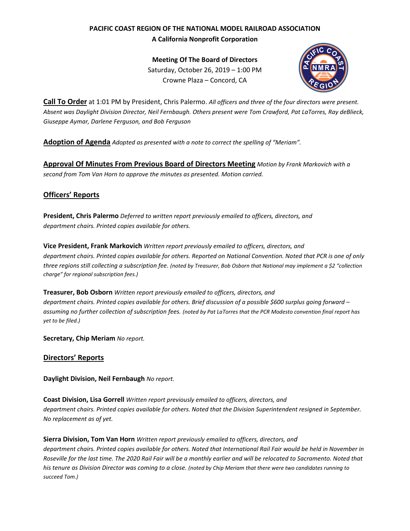# **PACIFIC COAST REGION OF THE NATIONAL MODEL RAILROAD ASSOCIATION A California Nonprofit Corporation**

**Meeting Of The Board of Directors** Saturday, October 26, 2019 – 1:00 PM Crowne Plaza – Concord, CA



**Call To Order** at 1:01 PM by President, Chris Palermo. *All officers and three of the four directors were present. Absent was Daylight Division Director, Neil Fernbaugh. Others present were Tom Crawford, Pat LaTorres, Ray deBlieck, Giuseppe Aymar, Darlene Ferguson, and Bob Ferguson*

**Adoption of Agenda** *Adopted as presented with a note to correct the spelling of "Meriam".*

**Approval Of Minutes From Previous Board of Directors Meeting** *Motion by Frank Markovich with a second from Tom Van Horn to approve the minutes as presented. Motion carried.*

## **Officers' Reports**

**President, Chris Palermo** *Deferred to written report previously emailed to officers, directors, and department chairs. Printed copies available for others.*

**Vice President, Frank Markovich** *Written report previously emailed to officers, directors, and department chairs. Printed copies available for others. Reported on National Convention. Noted that PCR is one of only three regions still collecting a subscription fee. (noted by Treasurer, Bob Osborn that National may implement a \$2 "collection charge" for regional subscription fees.)*

**Treasurer, Bob Osborn** *Written report previously emailed to officers, directors, and department chairs. Printed copies available for others. Brief discussion of a possible \$600 surplus going forward – assuming no further collection of subscription fees. (noted by Pat LaTorres that the PCR Modesto convention final report has yet to be filed.)*

**Secretary, Chip Meriam** *No report.*

### **Directors' Reports**

**Daylight Division, Neil Fernbaugh** *No report.*

**Coast Division, Lisa Gorrell** *Written report previously emailed to officers, directors, and department chairs. Printed copies available for others. Noted that the Division Superintendent resigned in September. No replacement as of yet.*

**Sierra Division, Tom Van Horn** *Written report previously emailed to officers, directors, and department chairs. Printed copies available for others. Noted that International Rail Fair would be held in November in Roseville for the last time. The 2020 Rail Fair will be a monthly earlier and will be relocated to Sacramento. Noted that his tenure as Division Director was coming to a close. (noted by Chip Meriam that there were two candidates running to succeed Tom.)*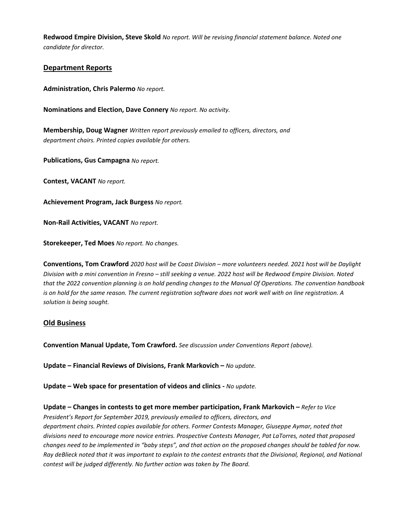**Redwood Empire Division, Steve Skold** *No report. Will be revising financial statement balance. Noted one candidate for director.*

### **Department Reports**

**Administration, Chris Palermo** *No report.*

**Nominations and Election, Dave Connery** *No report. No activity.*

**Membership, Doug Wagner** *Written report previously emailed to officers, directors, and department chairs. Printed copies available for others.*

**Publications, Gus Campagna** *No report.*

**Contest, VACANT** *No report.*

**Achievement Program, Jack Burgess** *No report.*

**Non-Rail Activities, VACANT** *No report.*

**Storekeeper, Ted Moes** *No report. No changes.*

**Conventions, Tom Crawford** *2020 host will be Coast Division – more volunteers needed. 2021 host will be Daylight Division with a mini convention in Fresno – still seeking a venue. 2022 host will be Redwood Empire Division. Noted that the 2022 convention planning is on hold pending changes to the Manual Of Operations. The convention handbook is on hold for the same reason. The current registration software does not work well with on line registration. A solution is being sought.*

#### **Old Business**

**Convention Manual Update, Tom Crawford.** *See discussion under Conventions Report (above).*

**Update – Financial Reviews of Divisions, Frank Markovich –** *No update.*

**Update – Web space for presentation of videos and clinics -** *No update.*

**Update – Changes in contests to get more member participation, Frank Markovich –** *Refer to Vice President's Report for September 2019, previously emailed to officers, directors, and department chairs. Printed copies available for others. Former Contests Manager, Giuseppe Aymar, noted that divisions need to encourage more novice entries. Prospective Contests Manager, Pat LaTorres, noted that proposed changes need to be implemented in "baby steps", and that action on the proposed changes should be tabled for now. Ray deBlieck noted that it was important to explain to the contest entrants that the Divisional, Regional, and National contest will be judged differently. No further action was taken by The Board.*